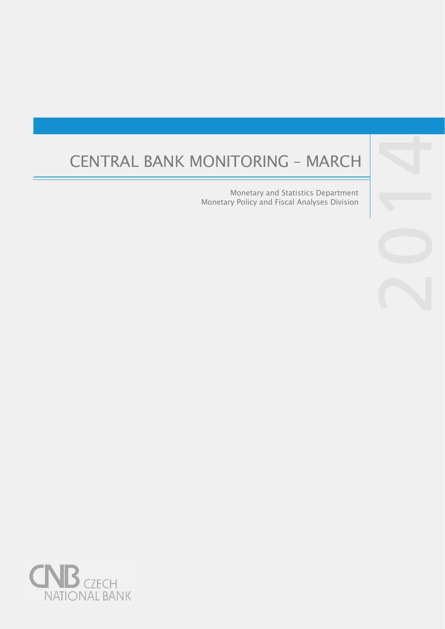# CENTRAL BANK MONITORING – MARCH

Monetary and Statistics Department Monetary Policy and Fiscal Analyses Division



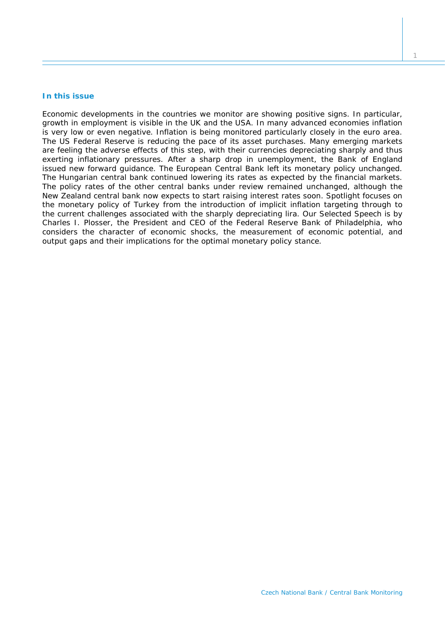# **In this issue**

*Economic developments in the countries we monitor are showing positive signs. In particular, growth in employment is visible in the UK and the USA. In many advanced economies inflation is very low or even negative. Inflation is being monitored particularly closely in the euro area. The US Federal Reserve is reducing the pace of its asset purchases. Many emerging markets are feeling the adverse effects of this step, with their currencies depreciating sharply and thus exerting inflationary pressures. After a sharp drop in unemployment, the Bank of England issued new forward guidance. The European Central Bank left its monetary policy unchanged. The Hungarian central bank continued lowering its rates as expected by the financial markets. The policy rates of the other central banks under review remained unchanged, although the New Zealand central bank now expects to start raising interest rates soon.* Spotlight *focuses on the monetary policy of Turkey from the introduction of implicit inflation targeting through to the current challenges associated with the sharply depreciating lira. Our Selected Speech is by Charles I. Plosser, the President and CEO of the Federal Reserve Bank of Philadelphia, who considers the character of economic shocks, the measurement of economic potential, and output gaps and their implications for the optimal monetary policy stance.*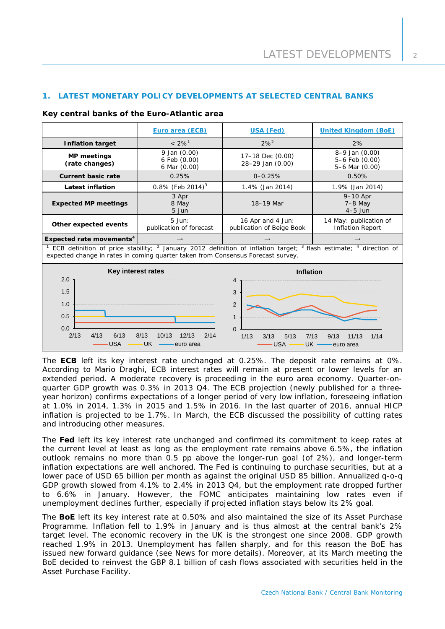# **1. LATEST MONETARY POLICY DEVELOPMENTS AT SELECTED CENTRAL BANKS**

|                                                                                                                                                                                                                 | Euro area (ECB)                              | <b>USA (Fed)</b>                               | <b>United Kingdom (BoE)</b>                            |  |  |
|-----------------------------------------------------------------------------------------------------------------------------------------------------------------------------------------------------------------|----------------------------------------------|------------------------------------------------|--------------------------------------------------------|--|--|
| <b>Inflation target</b>                                                                                                                                                                                         | $< 2\%$ <sup>1</sup>                         | $2\%^{2}$                                      | 2%                                                     |  |  |
| <b>MP</b> meetings<br>(rate changes)                                                                                                                                                                            | 9 Jan (0.00)<br>6 Feb (0.00)<br>6 Mar (0.00) | 17-18 Dec (0.00)<br>28-29 Jan (0.00)           | $8-9$ Jan $(0.00)$<br>5-6 Feb (0.00)<br>5-6 Mar (0.00) |  |  |
| <b>Current basic rate</b>                                                                                                                                                                                       | 0.25%                                        | $0 - 0.25%$<br>0.50%                           |                                                        |  |  |
| <b>Latest inflation</b>                                                                                                                                                                                         | 0.8% (Feb 2014) <sup>3</sup>                 | 1.4% (Jan 2014)                                | 1.9% (Jan 2014)                                        |  |  |
| <b>Expected MP meetings</b>                                                                                                                                                                                     | 3 Apr<br>8 May<br>5 Jun                      | 18-19 Mar                                      | 9-10 Apr<br>$7-8$ May<br>$4-5$ Jun                     |  |  |
| Other expected events                                                                                                                                                                                           | 5 Jun:<br>publication of forecast            | 16 Apr and 4 Jun:<br>publication of Beige Book | 14 May: publication of<br><b>Inflation Report</b>      |  |  |
| Expected rate movements <sup>4</sup>                                                                                                                                                                            |                                              | $\rightarrow$                                  |                                                        |  |  |
| ECB definition of price stability; $^2$ January 2012 definition of inflation target; $^3$ flash estimate; $^4$ direction of<br>expected change in rates in coming quarter taken from Consensus Forecast survey. |                                              |                                                |                                                        |  |  |
| Key interest rates<br>2.0                                                                                                                                                                                       |                                              | <b>Inflation</b><br>4                          |                                                        |  |  |
| 1.5                                                                                                                                                                                                             |                                              | 3                                              |                                                        |  |  |
| 1.0                                                                                                                                                                                                             |                                              | $\overline{2}$                                 |                                                        |  |  |

#### **Key central banks of the Euro-Atlantic area**

2/13 4/13 6/13 8/13 10/13 12/13 2/14

USA - UK - euro area

 $0.0 \perp$ <br>2/13

0.5

The **ECB** left its key interest rate unchanged at 0.25%. The deposit rate remains at 0%. According to Mario Draghi, ECB interest rates will remain at present or lower levels for an extended period. A moderate recovery is proceeding in the euro area economy. Quarter-onquarter GDP growth was 0.3% in 2013 Q4. The ECB projection (newly published for a threeyear horizon) confirms expectations of a longer period of very low inflation, foreseeing inflation at 1.0% in 2014, 1.3% in 2015 and 1.5% in 2016. In the last quarter of 2016, annual HICP inflation is projected to be 1.7%. In March, the ECB discussed the possibility of cutting rates and introducing other measures.

 $\overline{a}$ 

 $\Omega$ 1

The **Fed** left its key interest rate unchanged and confirmed its commitment to keep rates at the current level at least as long as the employment rate remains above 6.5%, the inflation outlook remains no more than 0.5 pp above the longer-run goal (of 2%), and longer-term inflation expectations are well anchored. The Fed is continuing to purchase securities, but at a lower pace of USD 65 billion per month as against the original USD 85 billion. Annualized q-o-q GDP growth slowed from 4.1% to 2.4% in 2013 Q4, but the employment rate dropped further to 6.6% in January. However, the FOMC anticipates maintaining low rates even if unemployment declines further, especially if projected inflation stays below its 2% goal.

The **BoE** left its key interest rate at 0.50% and also maintained the size of its Asset Purchase Programme. Inflation fell to 1.9% in January and is thus almost at the central bank's 2% target level. The economic recovery in the UK is the strongest one since 2008. GDP growth reached 1.9% in 2013. Unemployment has fallen sharply, and for this reason the BoE has issued new forward guidance (see *News* for more details). Moreover, at its March meeting the BoE decided to reinvest the GBP 8.1 billion of cash flows associated with securities held in the Asset Purchase Facility.

1/13 3/13 5/13 7/13 9/13 11/13 1/14

USA — UK — euro area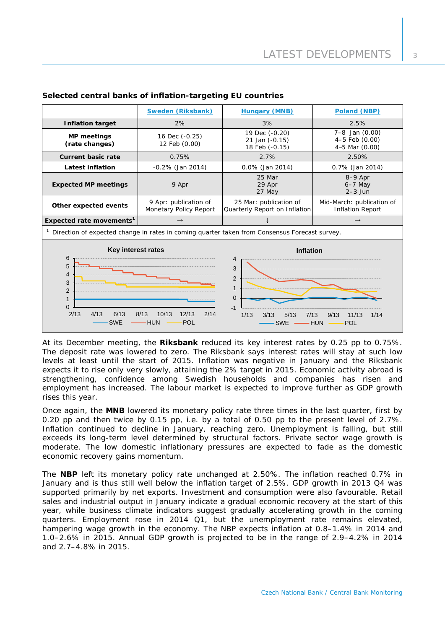|                                                                                                                                                                                                                                                                                                                                                                 | Sweden (Riksbank)                               | <b>Hungary (MNB)</b>                                    | Poland (NBP)                                         |  |  |
|-----------------------------------------------------------------------------------------------------------------------------------------------------------------------------------------------------------------------------------------------------------------------------------------------------------------------------------------------------------------|-------------------------------------------------|---------------------------------------------------------|------------------------------------------------------|--|--|
| <b>Inflation target</b>                                                                                                                                                                                                                                                                                                                                         | 2%                                              | 3%                                                      | 2.5%                                                 |  |  |
| <b>MP</b> meetings<br>(rate changes)                                                                                                                                                                                                                                                                                                                            | 16 Dec (-0.25)<br>12 Feb (0.00)                 | 19 Dec (-0.20)<br>21 Jan (-0.15)<br>18 Feb (-0.15)      | 7-8 Jan (0.00)<br>4-5 Feb (0.00)<br>4-5 Mar (0.00)   |  |  |
| <b>Current basic rate</b>                                                                                                                                                                                                                                                                                                                                       | 0.75%                                           | 2.7%                                                    | 2.50%                                                |  |  |
| <b>Latest inflation</b>                                                                                                                                                                                                                                                                                                                                         | $-0.2\%$ (Jan 2014)                             | 0.0% (Jan 2014)                                         | 0.7% (Jan 2014)                                      |  |  |
| <b>Expected MP meetings</b>                                                                                                                                                                                                                                                                                                                                     | 9 Apr                                           | 25 Mar<br>29 Apr<br>27 May                              | 8-9 Apr<br>$6-7$ May<br>$2-3$ Jun                    |  |  |
| Other expected events                                                                                                                                                                                                                                                                                                                                           | 9 Apr: publication of<br>Monetary Policy Report | 25 Mar: publication of<br>Quarterly Report on Inflation | Mid-March: publication of<br><b>Inflation Report</b> |  |  |
| Expected rate movements <sup>1</sup>                                                                                                                                                                                                                                                                                                                            | $\rightarrow$                                   |                                                         | $\rightarrow$                                        |  |  |
| Direction of expected change in rates in coming quarter taken from Consensus Forecast survey.                                                                                                                                                                                                                                                                   |                                                 |                                                         |                                                      |  |  |
| Key interest rates<br><b>Inflation</b><br>6<br>4<br>5<br>3<br>4<br>2<br>3<br>$\mathbf{1}$<br>$\overline{2}$<br>$\mathbf{0}$<br>$\mathbf{1}$<br>$\Omega$<br>$-1$<br>2/13<br>4/13<br>6/13<br>10/13<br>12/13<br>2/14<br>8/13<br>1/13<br>7/13<br>11/13<br>3/13<br>5/13<br>9/13<br>1/14<br><b>SWE</b><br><b>HUN</b><br>POL<br><b>SWE</b><br><b>HUN</b><br><b>POL</b> |                                                 |                                                         |                                                      |  |  |

# **Selected central banks of inflation-targeting EU countries**

At its December meeting, the **Riksbank** reduced its key interest rates by 0.25 pp to 0.75%. The deposit rate was lowered to zero. The Riksbank says interest rates will stay at such low levels at least until the start of 2015. Inflation was negative in January and the Riksbank expects it to rise only very slowly, attaining the 2% target in 2015. Economic activity abroad is strengthening, confidence among Swedish households and companies has risen and employment has increased. The labour market is expected to improve further as GDP growth rises this year.

Once again, the **MNB** lowered its monetary policy rate three times in the last quarter, first by 0.20 pp and then twice by 0.15 pp, i.e. by a total of 0.50 pp to the present level of 2.7%. Inflation continued to decline in January, reaching zero. Unemployment is falling, but still exceeds its long-term level determined by structural factors. Private sector wage growth is moderate. The low domestic inflationary pressures are expected to fade as the domestic economic recovery gains momentum.

The **NBP** left its monetary policy rate unchanged at 2.50%. The inflation reached 0.7% in January and is thus still well below the inflation target of 2.5%. GDP growth in 2013 Q4 was supported primarily by net exports. Investment and consumption were also favourable. Retail sales and industrial output in January indicate a gradual economic recovery at the start of this year, while business climate indicators suggest gradually accelerating growth in the coming quarters. Employment rose in 2014 Q1, but the unemployment rate remains elevated, hampering wage growth in the economy. The NBP expects inflation at 0.8–1.4% in 2014 and 1.0–2.6% in 2015. Annual GDP growth is projected to be in the range of 2.9–4.2% in 2014 and 2.7–4.8% in 2015.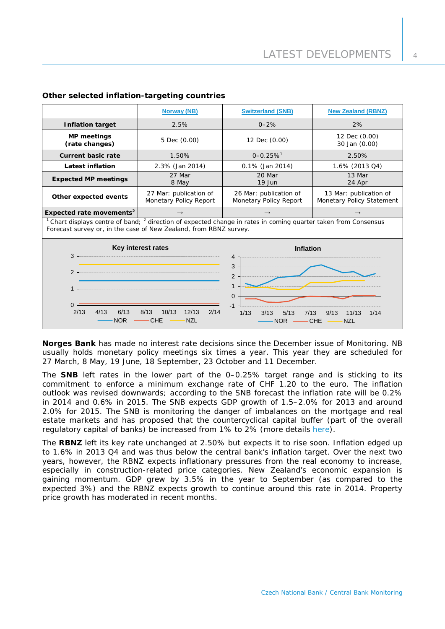|                                                                                                                                                                                          | <b>Norway (NB)</b>                    | <b>Switzerland (SNB)</b>                         | <b>New Zealand (RBNZ)</b>                           |  |  |
|------------------------------------------------------------------------------------------------------------------------------------------------------------------------------------------|---------------------------------------|--------------------------------------------------|-----------------------------------------------------|--|--|
| <b>Inflation target</b>                                                                                                                                                                  | 2.5%                                  | $0 - 2%$                                         | 2%                                                  |  |  |
| <b>MP</b> meetings<br>(rate changes)                                                                                                                                                     | 5 Dec (0.00)                          | 12 Dec (0.00)                                    | 12 Dec (0.00)<br>30 Jan (0.00)                      |  |  |
| <b>Current basic rate</b><br>1.50%                                                                                                                                                       |                                       | $0 - 0.25 \%$ <sup>1</sup>                       | 2.50%                                               |  |  |
| <b>Latest inflation</b>                                                                                                                                                                  | 2.3% (Jan 2014)<br>$0.1\%$ (Jan 2014) |                                                  | 1.6% (2013 Q4)                                      |  |  |
| <b>Expected MP meetings</b>                                                                                                                                                              | 27 Mar<br>8 May                       | 20 Mar<br>$19$ Jun                               | 13 Mar<br>24 Apr                                    |  |  |
| 27 Mar: publication of<br>Other expected events<br>Monetary Policy Report                                                                                                                |                                       | 26 Mar: publication of<br>Monetary Policy Report | 13 Mar: publication of<br>Monetary Policy Statement |  |  |
| Expected rate movements <sup>2</sup>                                                                                                                                                     | $\rightarrow$                         | $\rightarrow$                                    | $\rightarrow$                                       |  |  |
| $1$ Chart displays centre of band; $2$ direction of expected change in rates in coming quarter taken from Consensus<br>Forecast survey or, in the case of New Zealand, from RBNZ survey. |                                       |                                                  |                                                     |  |  |
| Key interest rates<br>3                                                                                                                                                                  |                                       | <b>Inflation</b><br>4                            |                                                     |  |  |
| $\overline{2}$<br>$\mathbf{1}$<br>$\Omega$                                                                                                                                               |                                       | 3<br>$\overline{2}$<br>1<br>$\mathbf 0$<br>$-1$  |                                                     |  |  |
| 2/13<br>4/13<br>6/13<br>8/13<br>10/13<br>12/13<br>2/14<br>1/13<br>3/13<br>5/13<br>7/13<br>9/13<br>11/13<br>1/14<br>CHE<br><b>NZL</b><br><b>NOR</b><br>CHE<br><b>NZL</b><br><b>NOR</b>    |                                       |                                                  |                                                     |  |  |

## **Other selected inflation-targeting countries**

**Norges Bank** has made no interest rate decisions since the December issue of Monitoring. NB usually holds monetary policy meetings six times a year. This year they are scheduled for 27 March, 8 May, 19 June, 18 September, 23 October and 11 December.

The **SNB** left rates in the lower part of the 0–0.25% target range and is sticking to its commitment to enforce a minimum exchange rate of CHF 1.20 to the euro. The inflation outlook was revised downwards; according to the SNB forecast the inflation rate will be 0.2% in 2014 and 0.6% in 2015. The SNB expects GDP growth of 1.5–2.0% for 2013 and around 2.0% for 2015. The SNB is monitoring the danger of imbalances on the mortgage and real estate markets and has proposed that the countercyclical capital buffer (part of the overall regulatory capital of banks) be increased from 1% to 2% (more details [here\)](http://www.snb.ch/en/mmr/reference/pre_20140123/source/pre_20140123.en.pdf).

The **RBNZ** left its key rate unchanged at 2.50% but expects it to rise soon. Inflation edged up to 1.6% in 2013 Q4 and was thus below the central bank's inflation target. Over the next two years, however, the RBNZ expects inflationary pressures from the real economy to increase, especially in construction-related price categories. New Zealand's economic expansion is gaining momentum. GDP grew by 3.5% in the year to September (as compared to the expected 3%) and the RBNZ expects growth to continue around this rate in 2014. Property price growth has moderated in recent months.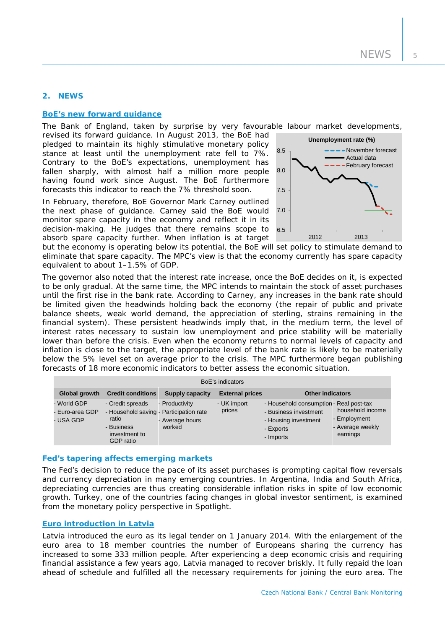## **2. NEWS**

## **[BoE's new forward guidance](http://www.bankofengland.co.uk/publications/Documents/inflationreport/2014/irspnote140212.pdf)**

The Bank of England, taken by surprise by very favourable labour market developments,

revised its forward guidance. In August 2013, the BoE had pledged to maintain its highly stimulative monetary policy stance at least until the unemployment rate fell to 7%. Contrary to the BoE's expectations, unemployment has fallen sharply, with almost half a million more people having found work since August. The BoE furthermore forecasts this indicator to reach the 7% threshold soon.

In February, therefore, BoE Governor Mark Carney outlined the next phase of guidance. Carney said the BoE would monitor spare capacity in the economy and reflect it in its decision-making. He judges that there remains scope to absorb spare capacity further. When inflation is at target



but the economy is operating below its potential, the BoE will set policy to stimulate demand to eliminate that spare capacity. The MPC's view is that the economy currently has spare capacity equivalent to about 1–1.5% of GDP.

The governor also noted that the interest rate increase, once the BoE decides on it, is expected to be only gradual. At the same time, the MPC intends to maintain the stock of asset purchases until the first rise in the bank rate. According to Carney, any increases in the bank rate should be limited given the headwinds holding back the economy (the repair of public and private balance sheets, weak world demand, the appreciation of sterling, strains remaining in the financial system). These persistent headwinds imply that, in the medium term, the level of interest rates necessary to sustain low unemployment and price stability will be materially lower than before the crisis. Even when the economy returns to normal levels of capacity and inflation is close to the target, the appropriate level of the bank rate is likely to be materially below the 5% level set on average prior to the crisis. The MPC furthermore began publishing forecasts of 18 more economic indicators to better assess the economic situation.

| BoE's indicators                            |                                                                                                                  |                                             |                        |                                                                                                                    |                                                                  |  |  |
|---------------------------------------------|------------------------------------------------------------------------------------------------------------------|---------------------------------------------|------------------------|--------------------------------------------------------------------------------------------------------------------|------------------------------------------------------------------|--|--|
| Global growth                               | <b>Credit conditions</b>                                                                                         | Supply capacity                             | <b>External prices</b> | <b>Other indicators</b>                                                                                            |                                                                  |  |  |
| - World GDP<br>- Euro-area GDP<br>- USA GDP | - Credit spreads<br>- Household saving - Participation rate<br>ratio<br>- Business<br>investment to<br>GDP ratio | - Productivity<br>- Average hours<br>worked | - UK import<br>prices  | - Household consumption - Real post-tax<br>- Business investment<br>- Housing investment<br>- Exports<br>- Imports | household income<br>- Employment<br>- Average weekly<br>earnings |  |  |

#### **Fed's tapering affects emerging markets**

The Fed's decision to reduce the pace of its asset purchases is prompting capital flow reversals and currency depreciation in many emerging countries. In Argentina, India and South Africa, depreciating currencies are thus creating considerable inflation risks in spite of low economic growth. Turkey, one of the countries facing changes in global investor sentiment, is examined from the monetary policy perspective in *Spotlight*.

## **[Euro introduction in Latvia](http://www.ecb.europa.eu/press/pr/date/2014/html/pr140101.en.html)**

Latvia introduced the euro as its legal tender on 1 January 2014. With the enlargement of the euro area to 18 member countries the number of Europeans sharing the currency has increased to some 333 million people. After experiencing a deep economic crisis and requiring financial assistance a few years ago, Latvia managed to recover briskly. It fully repaid the loan ahead of schedule and fulfilled all the necessary requirements for joining the euro area. The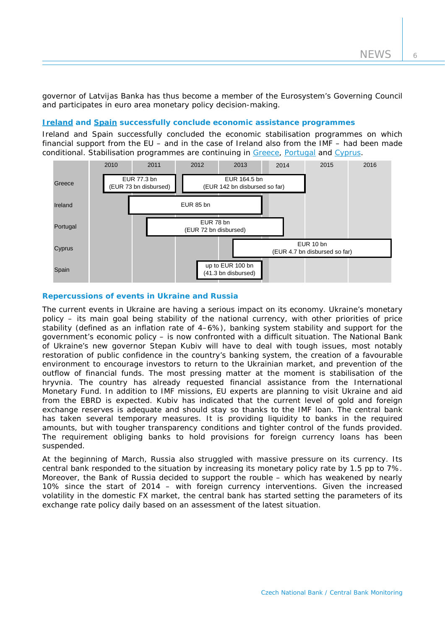governor of Latvijas Banka has thus become a member of the Eurosystem's Governing Council and participates in euro area monetary policy decision-making.

# **[Ireland](http://www.ecb.europa.eu/press/pr/date/2013/html/pr131108_1.en.html) and [Spain](http://www.ecb.europa.eu/press/pr/date/2013/html/pr131216_1.en.html) successfully conclude economic assistance programmes**

Ireland and Spain successfully concluded the economic stabilisation programmes on which financial support from the EU – and in the case of Ireland also from the IMF – had been made conditional. Stabilisation programmes are continuing in [Greece,](http://www.ecb.europa.eu/press/pr/date/2013/html/pr131121.en.html) [Portugal](http://www.ecb.europa.eu/press/pr/date/2013/html/pr131216_3.en.html) and Cyprus.



## **Repercussions of events in Ukraine and Russia**

The current events in Ukraine are having a serious impact on its economy. Ukraine's monetary policy – its main goal being stability of the national currency, with other priorities of price stability (defined as an inflation rate of 4–6%), banking system stability and support for the government's economic policy – is now confronted with a difficult situation. The National Bank of Ukraine's new governor Stepan Kubiv will have to deal with tough issues, most notably restoration of public confidence in the country's banking system, the creation of a favourable environment to encourage investors to return to the Ukrainian market, and prevention of the outflow of financial funds. The most pressing matter at the moment is stabilisation of the hryvnia. The country has already requested financial assistance from the International Monetary Fund. In addition to IMF missions, EU experts are planning to visit Ukraine and aid from the EBRD is expected. Kubiv has indicated that the current level of gold and foreign exchange reserves is adequate and should stay so thanks to the IMF loan. The central bank has taken several temporary measures. It is providing liquidity to banks in the required amounts, but with tougher transparency conditions and tighter control of the funds provided. The requirement obliging banks to hold provisions for foreign currency loans has been suspended.

At the beginning of March, Russia also struggled with massive pressure on its currency. Its central bank responded to the situation by increasing its monetary policy rate by 1.5 pp to 7%. Moreover, the Bank of Russia decided to support the rouble – which has weakened by nearly 10% since the start of 2014 – with foreign currency interventions. Given the increased volatility in the domestic FX market, the central bank has started setting the parameters of its exchange rate policy daily based on an assessment of the latest situation.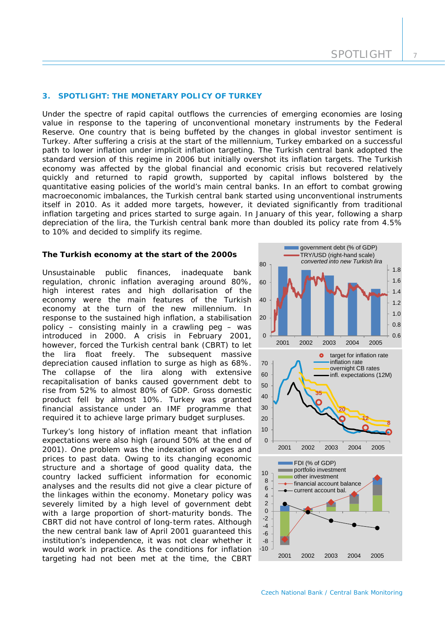#### **3. SPOTLIGHT: THE MONETARY POLICY OF TURKEY**

*Under the spectre of rapid capital outflows the currencies of emerging economies are losing*  value in response to the tapering of unconventional monetary instruments by the Federal *Reserve. One country that is being buffeted by the changes in global investor sentiment is Turkey. After suffering a crisis at the start of the millennium, Turkey embarked on a successful path to lower inflation under implicit inflation targeting. The Turkish central bank adopted the standard version of this regime in 2006 but initially overshot its inflation targets. The Turkish economy was affected by the global financial and economic crisis but recovered relatively quickly and returned to rapid growth, supported by capital inflows bolstered by the quantitative easing policies of the world's main central banks. In an effort to combat growing macroeconomic imbalances, the Turkish central bank started using unconventional instruments itself in 2010. As it added more targets, however, it deviated significantly from traditional inflation targeting and prices started to surge again. In January of this year, following a sharp depreciation of the lira, the Turkish central bank more than doubled its policy rate from 4.5% to 10% and decided to simplify its regime.*

#### **The Turkish economy at the start of the 2000s**

Unsustainable public finances, inadequate bank regulation, chronic inflation averaging around 80%, high interest rates and high dollarisation of the economy were the main features of the Turkish economy at the turn of the new millennium. In response to the sustained high inflation, a stabilisation policy – consisting mainly in a crawling peg – was introduced in 2000. A crisis in February 2001, however, forced the Turkish central bank (CBRT) to let the lira float freely. The subsequent massive depreciation caused inflation to surge as high as 68%. The collapse of the lira along with extensive recapitalisation of banks caused government debt to rise from 52% to almost 80% of GDP. Gross domestic product fell by almost 10%. Turkey was granted financial assistance under an IMF programme that required it to achieve large primary budget surpluses.

Turkey's long history of inflation meant that inflation expectations were also high (around 50% at the end of 2001). One problem was the indexation of wages and prices to past data. Owing to its changing economic structure and a shortage of good quality data, the country lacked sufficient information for economic analyses and the results did not give a clear picture of the linkages within the economy. Monetary policy was severely limited by a high level of government debt with a large proportion of short-maturity bonds. The CBRT did not have control of long-term rates. Although the new central bank law of April 2001 guaranteed this institution's independence, it was not clear whether it would work in practice. As the conditions for inflation targeting had not been met at the time, the CBRT

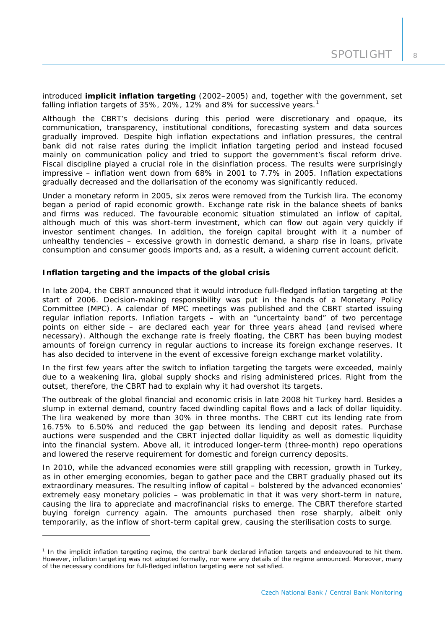introduced **implicit inflation targeting** (2002–2005) and, together with the government, set falling inflation targets of 35%, 20%, [1](#page-8-0)2% and 8% for successive years.<sup>1</sup>

Although the CBRT's decisions during this period were discretionary and opaque, its communication, transparency, institutional conditions, forecasting system and data sources gradually improved. Despite high inflation expectations and inflation pressures, the central bank did not raise rates during the implicit inflation targeting period and instead focused mainly on communication policy and tried to support the government's fiscal reform drive. Fiscal discipline played a crucial role in the disinflation process. The results were surprisingly impressive – inflation went down from 68% in 2001 to 7.7% in 2005. Inflation expectations gradually decreased and the dollarisation of the economy was significantly reduced.

Under a monetary reform in 2005, six zeros were removed from the Turkish lira. The economy began a period of rapid economic growth. Exchange rate risk in the balance sheets of banks and firms was reduced. The favourable economic situation stimulated an inflow of capital, although much of this was short-term investment, which can flow out again very quickly if investor sentiment changes. In addition, the foreign capital brought with it a number of unhealthy tendencies – excessive growth in domestic demand, a sharp rise in loans, private consumption and consumer goods imports and, as a result, a widening current account deficit.

## **Inflation targeting and the impacts of the global crisis**

-

In late 2004, the CBRT announced that it would introduce full-fledged inflation targeting at the start of 2006. Decision-making responsibility was put in the hands of a Monetary Policy Committee (MPC). A calendar of MPC meetings was published and the CBRT started issuing regular inflation reports. Inflation targets – with an "uncertainty band" of two percentage points on either side – are declared each year for three years ahead (and revised where necessary). Although the exchange rate is freely floating, the CBRT has been buying modest amounts of foreign currency in regular auctions to increase its foreign exchange reserves. It has also decided to intervene in the event of excessive foreign exchange market volatility.

In the first few years after the switch to inflation targeting the targets were exceeded, mainly due to a weakening lira, global supply shocks and rising administered prices. Right from the outset, therefore, the CBRT had to explain why it had overshot its targets.

The outbreak of the global financial and economic crisis in late 2008 hit Turkey hard. Besides a slump in external demand, country faced dwindling capital flows and a lack of dollar liquidity. The lira weakened by more than 30% in three months. The CBRT cut its lending rate from 16.75% to 6.50% and reduced the gap between its lending and deposit rates. Purchase auctions were suspended and the CBRT injected dollar liquidity as well as domestic liquidity into the financial system. Above all, it introduced longer-term (three-month) repo operations and lowered the reserve requirement for domestic and foreign currency deposits.

In 2010, while the advanced economies were still grappling with recession, growth in Turkey, as in other emerging economies, began to gather pace and the CBRT gradually phased out its extraordinary measures. The resulting inflow of capital – bolstered by the advanced economies' extremely easy monetary policies – was problematic in that it was very short-term in nature, causing the lira to appreciate and macrofinancial risks to emerge. The CBRT therefore started buying foreign currency again. The amounts purchased then rose sharply, albeit only temporarily, as the inflow of short-term capital grew, causing the sterilisation costs to surge.

<span id="page-8-0"></span><sup>&</sup>lt;sup>1</sup> In the implicit inflation targeting regime, the central bank declared inflation targets and endeavoured to hit them. However, inflation targeting was not adopted formally, nor were any details of the regime announced. Moreover, many of the necessary conditions for full-fledged inflation targeting were not satisfied.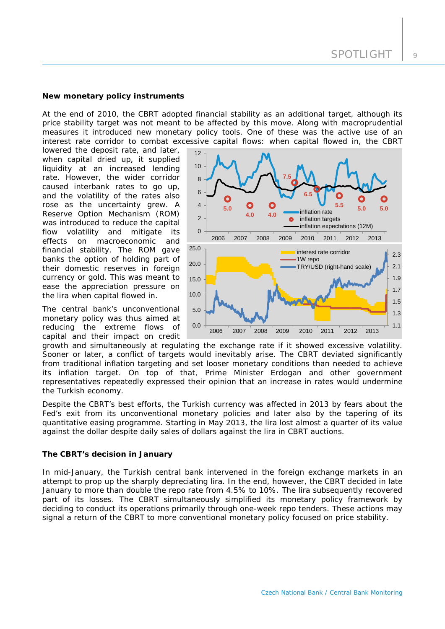## **New monetary policy instruments**

At the end of 2010, the CBRT adopted financial stability as an additional target, although its price stability target was not meant to be affected by this move. Along with macroprudential measures it introduced new monetary policy tools. One of these was the active use of an interest rate corridor to combat excessive capital flows: when capital flowed in, the CBRT

lowered the deposit rate, and later, when capital dried up, it supplied liquidity at an increased lending rate. However, the wider corridor caused interbank rates to go up, and the volatility of the rates also rose as the uncertainty grew. A Reserve Option Mechanism (ROM) was introduced to reduce the capital flow volatility and mitigate its effects on macroeconomic and financial stability. The ROM gave banks the option of holding part of their domestic reserves in foreign currency or gold. This was meant to ease the appreciation pressure on the lira when capital flowed in.

The central bank's unconventional monetary policy was thus aimed at reducing the extreme flows of capital and their impact on credit



growth and simultaneously at regulating the exchange rate if it showed excessive volatility. Sooner or later, a conflict of targets would inevitably arise. The CBRT deviated significantly from traditional inflation targeting and set looser monetary conditions than needed to achieve its inflation target. On top of that, Prime Minister Erdogan and other government representatives repeatedly expressed their opinion that an increase in rates would undermine the Turkish economy.

Despite the CBRT's best efforts, the Turkish currency was affected in 2013 by fears about the Fed's exit from its unconventional monetary policies and later also by the tapering of its quantitative easing programme. Starting in May 2013, the lira lost almost a quarter of its value against the dollar despite daily sales of dollars against the lira in CBRT auctions.

## **The CBRT's decision in January**

In mid-January, the Turkish central bank intervened in the foreign exchange markets in an attempt to prop up the sharply depreciating lira. In the end, however, the CBRT decided in late January to more than double the repo rate from 4.5% to 10%. The lira subsequently recovered part of its losses. The CBRT simultaneously simplified its monetary policy framework by deciding to conduct its operations primarily through one-week repo tenders. These actions may signal a return of the CBRT to more conventional monetary policy focused on price stability.